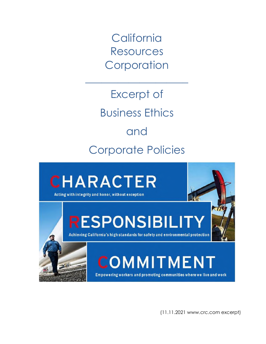**California** Resources **Corporation** 

 $\overline{\phantom{a}}$  , where  $\overline{\phantom{a}}$  , where  $\overline{\phantom{a}}$ 

Excerpt of Business Ethics and Corporate Policies



(11.11.2021 www.crc.com excerpt)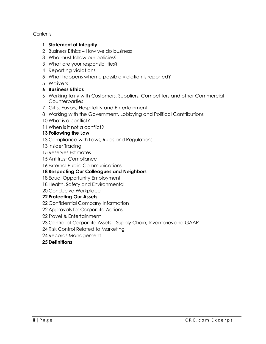**Contents** 

#### **1 Statement of Integrity**

- 2 Business Ethics How we do business
- 3 Who must follow our policies?
- 3 What are your responsibilities?
- 4 Reporting violations
- 5 What happens when a possible violation is reported?
- 5 Waivers

### **6 Business Ethics**

- 6 Working fairly with Customers, Suppliers, Competitors and other Commercial **Counterparties**
- 7 Gifts, Favors, Hospitality and Entertainment
- 8 Working with the Government, Lobbying and Political Contributions
- 10 What is a conflict?
- 11 When is it not a conflict?

### **13 Following the Law**

- 13 Compliance with Laws, Rules and Regulations
- 13 Insider Trading
- 15 Reserves Estimates
- 15 Antitrust Compliance
- 16 External Public Communications

### **18 Respecting Our Colleagues and Neighbors**

- 18 Equal Opportunity Employment
- 18 Health, Safety and Environmental
- 20 Conducive Workplace

### **22 Protecting Our Assets**

- 22 Confidential Company Information
- 22 Approvals for Corporate Actions
- 22 Travel & Entertainment
- 23 Control of Corporate Assets Supply Chain, Inventories and GAAP
- 24 Risk Control Related to Marketing
- 24 Records Management

### **25 Definitions**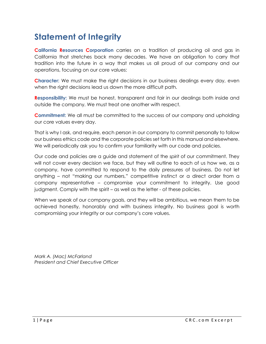## **Statement of Integrity**

**California Resources Corporation** carries on a tradition of producing oil and gas in California that stretches back many decades. We have an obligation to carry that tradition into the future in a way that makes us all proud of our company and our operations, focusing on our core values:

**Character:** We must make the right decisions in our business dealings every day, even when the right decisions lead us down the more difficult path.

**Responsibility:** We must be honest, transparent and fair in our dealings both inside and outside the company. We must treat one another with respect.

**Commitment:** We all must be committed to the success of our company and upholding our core values every day.

That is why I ask, and require, each person in our company to commit personally to follow our business ethics code and the corporate policies set forth in this manual and elsewhere. We will periodically ask you to confirm your familiarity with our code and policies.

Our code and policies are a guide and statement of the *spirit* of our commitment. They will not cover every decision we face, but they will outline to each of us how we, as a company, have committed to respond to the daily pressures of business. Do not let anything – not "making our numbers," competitive instinct or a direct order from a company representative – compromise your commitment to integrity. Use good judgment. Comply with the spirit – as well as the letter - of these policies.

When we speak of our company goals, and they will be ambitious, we mean them to be achieved honestly, honorably and with business integrity. No business goal is worth compromising your integrity or our company's core values.

*Mark A. (Mac) McFarland President and Chief Executive Officer*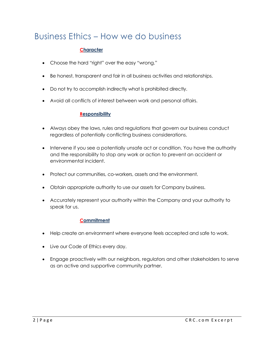## Business Ethics – How we do business

### **Character**

- Choose the hard "right" over the easy "wrong."
- Be honest, transparent and fair in all business activities and relationships.
- Do not try to accomplish indirectly what is prohibited directly.
- Avoid all conflicts of interest between work and personal affairs.

#### **Responsibility**

- Always obey the laws, rules and regulations that govern our business conduct regardless of potentially conflicting business considerations.
- Intervene if you see a potentially unsafe act or condition. You have the authority and the responsibility to stop any work or action to prevent an accident or environmental incident.
- Protect our communities, co-workers, assets and the environment.
- Obtain appropriate authority to use our assets for Company business.
- Accurately represent your authority within the Company and your authority to speak for us.

#### **Commitment**

- Help create an environment where everyone feels accepted and safe to work.
- Live our Code of Ethics every day.
- Engage proactively with our neighbors, regulators and other stakeholders to serve as an active and supportive community partner.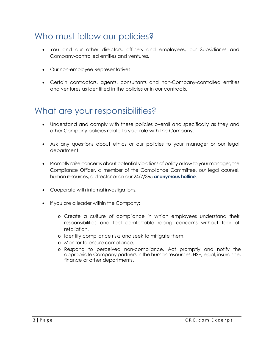## Who must follow our policies?

- You and our other directors, officers and employees, our Subsidiaries and Company-controlled entities and ventures.
- Our non-employee Representatives.
- Certain contractors, agents, consultants and non-Company-controlled entities and ventures as identified in the policies or in our contracts.

### What are your responsibilities?

- Understand and comply with these policies overall and specifically as they and other Company policies relate to your role with the Company.
- Ask any questions about ethics or our policies to your manager or our legal department.
- Promptly raise concerns about potential violations of policy or law to your manager, the Compliance Officer, a member of the Compliance Committee, our legal counsel, human resources, a director or on our 24/7/365 **anonymous hotline**.
- Cooperate with internal investigations.
- If you are a leader within the Company:
	- o Create a culture of compliance in which employees understand their responsibilities and feel comfortable raising concerns without fear of retaliation.
	- o Identify compliance risks and seek to mitigate them.
	- o Monitor to ensure compliance.
	- o Respond to perceived non-compliance. Act promptly and notify the appropriate Company partners in the human resources, HSE, legal, insurance, finance or other departments.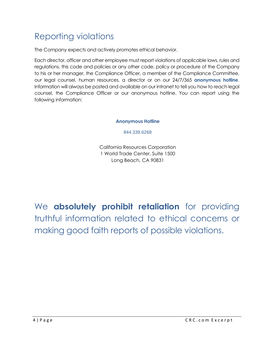# Reporting violations

The Company expects and actively promotes ethical behavior.

Each director, officer and other employee must report violations of applicable laws, rules and regulations, this code and policies or any other code, policy or procedure of the Company to his or her manager, the Compliance Officer, a member of the Compliance Committee, our legal counsel, human resources, a director or on our 24/7/365 **anonymous hotline**. Information will always be posted and available on our intranet to tell you how to reach legal counsel, the Compliance Officer or our anonymous hotline. You can report using the following information:

#### **Anonymous Hotline**

844.339.6268

California Resources Corporation 1 World Trade Center, Suite 1500 Long Beach, CA 90831

We **absolutely prohibit retaliation** for providing truthful information related to ethical concerns or making good faith reports of possible violations.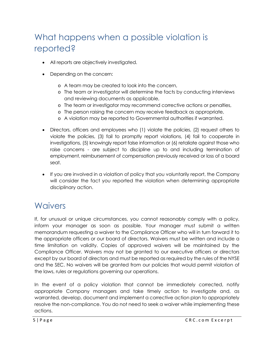## What happens when a possible violation is reported?

- All reports are objectively investigated.
- Depending on the concern:
	- o A team may be created to look into the concern,
	- o The team or investigator will determine the facts by conducting interviews and reviewing documents as applicable,
	- o The team or investigator may recommend corrective actions or penalties,
	- o The person raising the concern may receive feedback as appropriate,
	- o A violation may be reported to Governmental authorities if warranted.
- Directors, officers and employees who (1) violate the policies, (2) request others to violate the policies, (3) fail to promptly report violations, (4) fail to cooperate in investigations, (5) knowingly report false information or (6) retaliate against those who raise concerns - are subject to discipline up to and including termination of employment, reimbursement of compensation previously received or loss of a board seat.
- If you are involved in a violation of policy that you voluntarily report, the Company will consider the fact you reported the violation when determining appropriate disciplinary action.

### **Waivers**

If, for unusual or unique circumstances, you cannot reasonably comply with a policy, inform your manager as soon as possible. Your manager must submit a written memorandum requesting a waiver to the Compliance Officer who will in turn forward it to the appropriate officers or our board of directors. Waivers must be written and include a time limitation on validity. Copies of approved waivers will be maintained by the Compliance Officer. Waivers may not be granted to our executive officers or directors except by our board of directors and must be reported as required by the rules of the NYSE and the SEC. No waivers will be granted from our policies that would permit violation of the laws, rules or regulations governing our operations.

In the event of a policy violation that cannot be immediately corrected, notify appropriate Company managers and take timely action to investigate and, as warranted, develop, document and implement a corrective action plan to appropriately resolve the non-compliance. You do not need to seek a waiver while implementing these actions.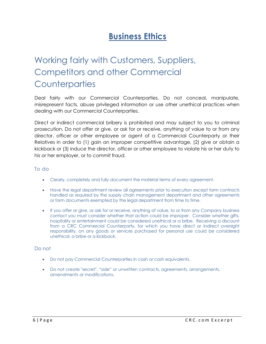## **Business Ethics**

# Working fairly with Customers, Suppliers, Competitors and other Commercial **Counterparties**

Deal fairly with our Commercial Counterparties. Do not conceal, manipulate, misrepresent facts, abuse privileged information or use other unethical practices when dealing with our Commercial Counterparties.

Direct or indirect commercial bribery is prohibited and may subject to you to criminal prosecution. Do not offer or give, or ask for or receive, anything of value to or from any director, officer or other employee or agent of a Commercial Counterparty or their Relatives in order to (1) gain an improper competitive advantage, (2) give or obtain a kickback or (3) induce the director, officer or other employee to violate his or her duty to his or her employer, or to commit fraud.

#### To do

- Clearly, completely and fully document the material terms of every agreement.
- Have the legal department review all agreements prior to execution except form contracts handled as required by the supply chain management department and other agreements or form documents exempted by the legal department from time to time.
- If you offer or give, or ask for or receive, anything of value, to or from any Company business contact you must consider whether that action could be improper. Consider whether gifts, hospitality or entertainment could be considered unethical or a bribe. Receiving a discount from a CRC Commercial Counterparty, for which you have direct or indirect oversight responsibility, on any goods or services purchased for personal use could be considered unethical, a bribe or a kickback.

#### Do not

- Do not pay Commercial Counterparties in cash or cash equivalents.
- Do not create "secret", "side" or unwritten contracts, agreements, arrangements, amendments or modifications.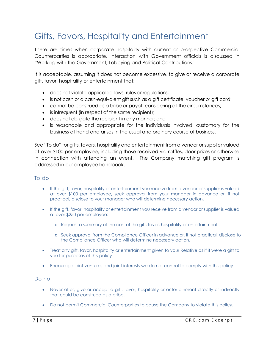# Gifts, Favors, Hospitality and Entertainment

There are times when corporate hospitality with current or prospective Commercial Counterparties is appropriate. Interaction with Government officials is discussed in "Working with the Government, Lobbying and Political Contributions."

It is acceptable, assuming it does not become excessive, to give or receive a corporate gift, favor, hospitality or entertainment that:

- does not violate applicable laws, rules or regulations;
- is not cash or a cash-equivalent gift such as a gift certificate, voucher or gift card;
- cannot be construed as a bribe or payoff considering all the circumstances;
- is infrequent (in respect of the same recipient);
- does not obligate the recipient in any manner; and
- is reasonable and appropriate for the individuals involved, customary for the business at hand and arises in the usual and ordinary course of business.

See "To do" for gifts, favors, hospitality and entertainment from a vendor or supplier valued at over \$100 per employee, including those received via raffles, door prizes or otherwise in connection with attending an event. The Company matching gift program is addressed in our employee handbook.

#### To do

- If the gift, favor, hospitality or entertainment you receive from a vendor or supplier is valued at over \$100 per employee, seek approval from your manager in advance or, if not practical, disclose to your manager who will determine necessary action.
- If the gift, favor, hospitality or entertainment you receive from a vendor or supplier is valued at over \$250 per employee:
	- o Request a summary of the cost of the gift, favor, hospitality or entertainment.
	- o Seek approval from the Compliance Officer in advance or, if not practical, disclose to the Compliance Officer who will determine necessary action.
- Treat any gift, favor, hospitality or entertainment given to your Relative as if it were a gift to you for purposes of this policy.
- Encourage joint ventures and joint interests we do not control to comply with this policy.

#### Do not

- Never offer, give or accept a gift, favor, hospitality or entertainment directly or indirectly that could be construed as a bribe.
- Do not permit Commercial Counterparties to cause the Company to violate this policy.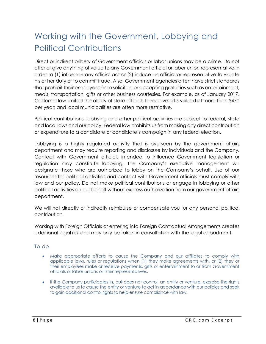# Working with the Government, Lobbying and Political Contributions

Direct or indirect bribery of Government officials or labor unions may be a crime. Do not offer or give anything of value to any Government official or labor union representative in order to (1) influence any official act or (2) induce an official or representative to violate his or her duty or to commit fraud. Also, Government agencies often have strict standards that prohibit their employees from soliciting or accepting gratuities such as entertainment, meals, transportation, gifts or other business courtesies. For example, as of January 2017, California law limited the ability of state officials to receive gifts valued at more than \$470 per year; and local municipalities are often more restrictive.

Political contributions, lobbying and other political activities are subject to federal, state and local laws and our policy. Federal law prohibits us from making any direct contribution or expenditure to a candidate or candidate's campaign in any federal election.

Lobbying is a highly regulated activity that is overseen by the government affairs department and may require reporting and disclosure by individuals and the Company. Contact with Government officials intended to influence Government legislation or regulation may constitute lobbying. The Company's executive management will designate those who are authorized to lobby on the Company's behalf. Use of our resources for political activities and contact with Government officials must comply with law and our policy. Do not make political contributions or engage in lobbying or other political activities on our behalf without express authorization from our government affairs department.

We will not directly or indirectly reimburse or compensate you for any personal political contribution.

Working with Foreign Officials or entering into Foreign Contractual Arrangements creates additional legal risk and may only be taken in consultation with the legal department.

#### To do

- Make appropriate efforts to cause the Company and our affiliates to comply with applicable laws, rules or regulations when (1) they make agreements with, or (2) they or their employees make or receive payments, gifts or entertainment to or from Government officials or labor unions or their representatives.
- If the Company participates in, but does not control, an entity or venture, exercise the rights available to us to cause the entity or venture to act in accordance with our policies and seek to gain additional control rights to help ensure compliance with law.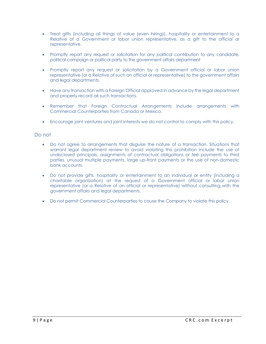- Treat gifts (including all things of value (even hiring)), hospitality or entertainment to a Relative of a Government or labor union representative, as a gift to the official or representative.
- Promptly report any request or solicitation for any political contribution to any candidate, political campaign or political party to the government affairs department
- Promptly report any request or solicitation by a Government official or labor union representative (or a Relative of such an official or representative) to the government affairs and legal departments.
- Have any transaction with a Foreign Official approved in advance by the legal department and properly record all such transactions.
- Remember that Foreign Contractual Arrangements include arrangements with Commercial Counterparties from Canada or Mexico.
- Encourage joint ventures and joint interests we do not control to comply with this policy.

#### Do not

- Do not agree to arrangements that disguise the nature of a transaction. Situations that warrant legal department review to avoid violating this prohibition include the use of undisclosed principals, assignments of contractual obligations or fee payments to third parties, unusual multiple payments, large up-front payments or the use of non-domestic bank accounts.
- Do not provide gifts, hospitality or entertainment to an individual or entity (including a charitable organization) at the request of a Government official or labor union representative (or a Relative of an official or representative) without consulting with the government affairs and legal departments.
- Do not permit Commercial Counterparties to cause the Company to violate this policy.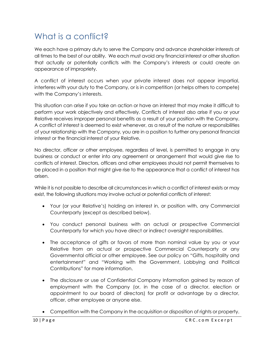## What is a conflict?

We each have a primary duty to serve the Company and advance shareholder interests at all times to the best of our ability. We each must avoid any financial interest or other situation that actually or potentially conflicts with the Company's interests or could create an appearance of impropriety.

A conflict of interest occurs when your private interest does not appear impartial, interferes with your duty to the Company, or is in competition (or helps others to compete) with the Company's interests.

This situation can arise if you take an action or have an interest that may make it difficult to perform your work objectively and effectively. Conflicts of interest also arise if you or your Relative receives improper personal benefits as a result of your position with the Company. A conflict of interest is deemed to exist whenever, as a result of the nature or responsibilities of your relationship with the Company, you are in a position to further any personal financial interest or the financial interest of your Relative.

No director, officer or other employee, regardless of level, is permitted to engage in any business or conduct or enter into any agreement or arrangement that would give rise to conflicts of interest. Directors, officers and other employees should not permit themselves to be placed in a position that might give rise to the appearance that a conflict of interest has arisen.

While it is not possible to describe all circumstances in which a conflict of interest exists or may exist, the following situations may involve actual or potential conflicts of interest:

- Your (or your Relative's) holding an interest in, or position with, any Commercial Counterparty (except as described below).
- You conduct personal business with an actual or prospective Commercial Counterparty for which you have direct or indirect oversight responsibilities.
- The acceptance of gifts or favors of more than nominal value by you or your Relative from an actual or prospective Commercial Counterparty or any Governmental official or other employee. See our policy on "Gifts, hospitality and entertainment" and "Working with the Government, Lobbying and Political Contributions" for more information.
- The disclosure or use of Confidential Company Information gained by reason of employment with the Company (or, in the case of a director, election or appointment to our board of directors) for profit or advantage by a director, officer, other employee or anyone else.
- Competition with the Company in the acquisition or disposition of rights or property.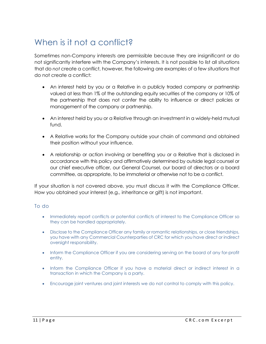## When is it not a conflict?

Sometimes non-Company interests are permissible because they are insignificant or do not significantly interfere with the Company's interests. It is not possible to list all situations that do *not* create a conflict, however, the following are examples of a few situations that do not create a conflict:

- An interest held by you or a Relative in a publicly traded company or partnership valued at less than 1% of the outstanding equity securities of the company or 10% of the partnership that does not confer the ability to influence or direct policies or management of the company or partnership.
- An interest held by you or a Relative through an investment in a widely-held mutual fund.
- A Relative works for the Company outside your chain of command and obtained their position without your influence.
- A relationship or action involving or benefiting you or a Relative that is disclosed in accordance with this policy and affirmatively determined by outside legal counsel or our chief executive officer, our General Counsel, our board of directors or a board committee, as appropriate, to be immaterial or otherwise not to be a conflict.

If your situation is not covered above, you must discuss it with the Compliance Officer. How you obtained your interest (e.g., inheritance or gift) is not important.

#### To do

- Immediately report conflicts or potential conflicts of interest to the Compliance Officer so they can be handled appropriately.
- Disclose to the Compliance Officer any family or romantic relationships, or close friendships, you have with any Commercial Counterparties of CRC for which you have direct or indirect oversight responsibility.
- Inform the Compliance Officer if you are considering serving on the board of any for-profit entity.
- Inform the Compliance Officer if you have a material direct or indirect interest in a transaction in which the Company is a party.
- Encourage joint ventures and joint interests we do not control to comply with this policy.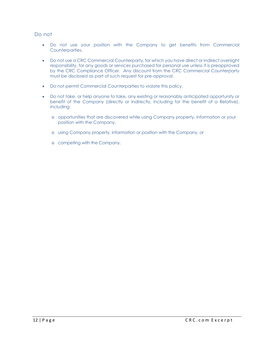#### Do not

- Do not use your position with the Company to get benefits from Commercial Counterparties.
- Do not use a CRC Commercial Counterparty, for which you have direct or indirect oversight responsibility, for any goods or services purchased for personal use unless it is preapproved by the CRC Compliance Officer. Any discount from the CRC Commercial Counterparty must be disclosed as part of such request for pre-approval.
- Do not permit Commercial Counterparties to violate this policy.
- Do not take, or help anyone to take, any existing or reasonably anticipated opportunity or benefit of the Company (directly or indirectly, including for the benefit of a Relative), including:
	- o opportunities that are discovered while using Company property, information or your position with the Company,
	- o using Company property, information or position with the Company, or
	- o competing with the Company.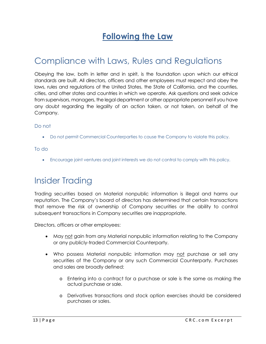## **Following the Law**

## Compliance with Laws, Rules and Regulations

Obeying the law, both in letter and in spirit, is the foundation upon which our ethical standards are built. All directors, officers and other employees must respect and obey the laws, rules and regulations of the United States, the State of California, and the counties, cities, and other states and countries in which we operate. Ask questions and seek advice from supervisors, managers, the legal department or other appropriate personnel if you have any doubt regarding the legality of an action taken, or not taken, on behalf of the Company.

#### Do not

Do not permit Commercial Counterparties to cause the Company to violate this policy.

#### To do

Encourage joint ventures and joint interests we do not control to comply with this policy.

### Insider Trading

Trading securities based on Material nonpublic information is illegal and harms our reputation. The Company's board of directors has determined that certain transactions that remove the risk of ownership of Company securities or the ability to control subsequent transactions in Company securities are inappropriate.

Directors, officers or other employees:

- May not gain from any Material nonpublic information relating to the Company or any publicly-traded Commercial Counterparty.
- Who possess Material nonpublic information may not purchase or sell any securities of the Company or any such Commercial Counterparty. Purchases and sales are broadly defined:
	- o Entering into a contract for a purchase or sale is the same as making the actual purchase or sale.
	- o Derivatives transactions and stock option exercises should be considered purchases or sales.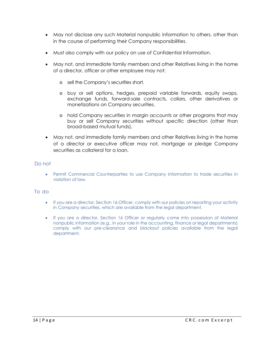- May not disclose any such Material nonpublic information to others, other than in the course of performing their Company responsibilities.
- Must also comply with our policy on use of Confidential Information.
- May not, and immediate family members and other Relatives living in the home of a director, officer or other employee may not:
	- o sell the Company's securities short.
	- o buy or sell options, hedges, prepaid variable forwards, equity swaps, exchange funds, forward-sale contracts, collars, other derivatives or monetizations on Company securities.
	- o hold Company securities in margin accounts or other programs that may buy or sell Company securities without specific direction (other than broad-based mutual funds).
- May not, and immediate family members and other Relatives living in the home of a director or executive officer may not, mortgage or pledge Company securities as collateral for a loan.

#### Do not

 Permit Commercial Counterparties to use Company information to trade securities in violation of law.

#### To do

- If you are a director, Section 16 Officer, comply with our policies on reporting your activity in Company securities, which are available from the legal department.
- If you are a director, Section 16 Officer or regularly come into possession of Material nonpublic information (e.g., in your role in the accounting, finance or legal departments) comply with our pre-clearance and blackout policies available from the legal department.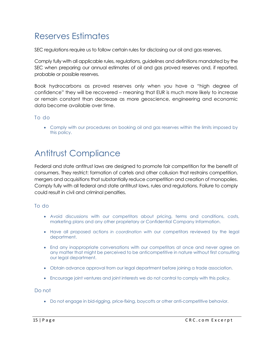## Reserves Estimates

SEC regulations require us to follow certain rules for disclosing our oil and gas reserves.

Comply fully with all applicable rules, regulations, guidelines and definitions mandated by the SEC when preparing our annual estimates of oil and gas proved reserves and, if reported, probable or possible reserves.

Book hydrocarbons as proved reserves only when you have a "high degree of confidence" they will be recovered – meaning that EUR is much more likely to increase or remain constant than decrease as more geoscience, engineering and economic data become available over time.

#### To do

 Comply with our procedures on booking oil and gas reserves within the limits imposed by this policy.

## Antitrust Compliance

Federal and state antitrust laws are designed to promote fair competition for the benefit of consumers. They restrict: formation of cartels and other collusion that restrains competition, mergers and acquisitions that substantially reduce competition and creation of monopolies. Comply fully with all federal and state antitrust laws, rules and regulations. Failure to comply could result in civil and criminal penalties.

#### To do

- Avoid discussions with our competitors about pricing, terms and conditions, costs, marketing plans and any other proprietary or Confidential Company Information.
- Have all proposed actions *in coordination with* our competitors reviewed by the legal department.
- End any inappropriate conversations with our competitors at once and never agree on any matter that might be perceived to be anticompetitive in nature without first consulting our legal department.
- Obtain advance approval from our legal department before joining a trade association.
- Encourage joint ventures and joint interests we do not control to comply with this policy.

Do not

Do not engage in bid-rigging, price-fixing, boycotts or other anti-competitive behavior.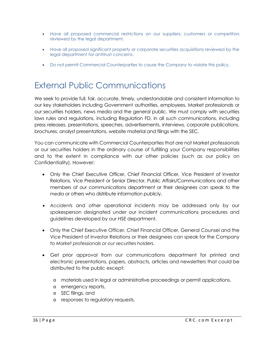- Have all proposed commercial restrictions on our suppliers, customers or competitors reviewed by the legal department.
- Have all proposed significant property or corporate securities acquisitions reviewed by the legal department for antitrust concerns.
- Do not permit Commercial Counterparties to cause the Company to violate this policy.

## External Public Communications

We seek to provide full, fair, accurate, timely, understandable and consistent information to our key stakeholders including Government authorities, employees, Market professionals or our securities holders, news media and the general public. We must comply with securities laws rules and regulations, including Regulation FD, in all such communications, including press releases, presentations, speeches, advertisements, interviews, corporate publications, brochures, analyst presentations, website material and filings with the SEC.

You can communicate with Commercial Counterparties that are not Market professionals or our securities holders in the ordinary course of fulfilling your Company responsibilities and to the extent in compliance with our other policies (such as our policy on Confidentiality). However:

- Only the Chief Executive Officer, Chief Financial Officer, Vice President of Investor Relations, Vice President or Senior Director, Public Affairs/Communications and other members of our communications department or their designees can speak to the *media* or others who distribute information publicly.
- *Accidents* and other operational incidents may be addressed only by our spokesperson designated under our incident communications procedures and guidelines developed by our HSE department.
- Only the Chief Executive Officer, Chief Financial Officer, General Counsel and the Vice President of Investor Relations or their designees can speak for the Company to *Market professionals or our securities holders*.
- Get prior approval from our communications department for printed and electronic presentations, papers, abstracts, articles and newsletters that could be distributed to the public except:
	- o materials used in legal or administrative proceedings or permit applications,
	- o emergency reports,
	- o SEC filings, and
	- o responses to regulatory requests.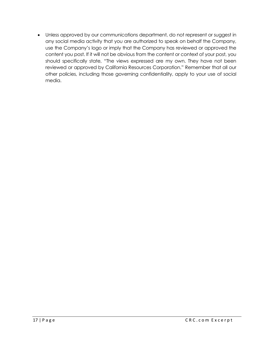Unless approved by our communications department, do not represent or suggest in any social media activity that you are authorized to speak on behalf the Company, use the Company's logo or imply that the Company has reviewed or approved the content you post. If it will not be obvious from the content or context of your post, you should specifically state, "The views expressed are my own. They have not been reviewed or approved by California Resources Corporation." Remember that all our other policies, including those governing confidentiality, apply to your use of social media.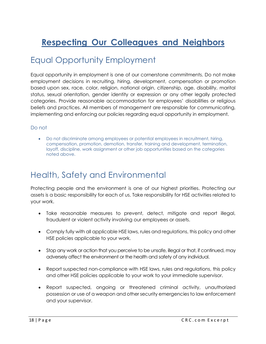# **Respecting Our Colleagues and Neighbors**

### Equal Opportunity Employment

Equal opportunity in employment is one of our cornerstone commitments. Do not make employment decisions in recruiting, hiring, development, compensation or promotion based upon sex, race, color, religion, national origin, citizenship, age, disability, marital status, sexual orientation, gender identity or expression or any other legally protected categories. Provide reasonable accommodation for employees' disabilities or religious beliefs and practices. All members of management are responsible for communicating, implementing and enforcing our policies regarding equal opportunity in employment.

#### Do not

 Do not discriminate among employees or potential employees in recruitment, hiring, compensation, promotion, demotion, transfer, training and development, termination, layoff, discipline, work assignment or other job opportunities based on the categories noted above.

### Health, Safety and Environmental

Protecting people and the environment is one of our highest priorities. Protecting our assets is a basic responsibility for each of us. Take responsibility for HSE activities related to your work.

- Take reasonable measures to prevent, detect, mitigate and report illegal, fraudulent or violent activity involving our employees or assets.
- Comply fully with all applicable HSE laws, rules and regulations, this policy and other HSE policies applicable to your work.
- Stop any work or action that you perceive to be unsafe, illegal or that, if continued, may adversely affect the environment or the health and safety of any individual.
- Report suspected non-compliance with HSE laws, rules and regulations, this policy and other HSE policies applicable to your work to your immediate supervisor.
- Report suspected, ongoing or threatened criminal activity, unauthorized possession or use of a weapon and other security emergencies to law enforcement and your supervisor.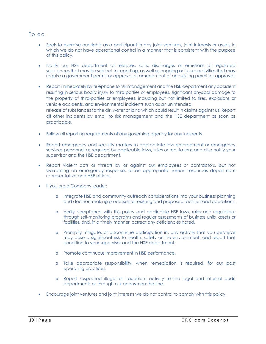#### To do

- Seek to exercise our rights as a participant in any joint ventures, joint interests or assets in which we do not have operational control in a manner that is consistent with the purpose of this policy.
- Notify our HSE department of releases, spills, discharges or emissions of regulated substances that may be subject to reporting, as well as ongoing or future activities that may require a government permit or approval or amendment of an existing permit or approval.
- Report immediately by telephone to risk management and the HSE department any accident resulting in serious bodily injury to third parties or employees, significant physical damage to the property of third-parties or employees, including but not limited to fires, explosions or vehicle accidents, and environmental incidents such as an unintended release of substances to the air, water or land which could result in claims against us. Report all other incidents by email to risk management and the HSE department as soon as practicable.
- Follow all reporting requirements of any governing agency for any incidents.
- Report emergency and security matters to appropriate law enforcement or emergency services personnel as required by applicable laws, rules or regulations and also notify your supervisor and the HSE department.
- Report violent acts or threats by or against our employees or contractors, but not warranting an emergency response, to an appropriate human resources department representative and HSE officer.
- If you are a Company leader:
	- o Integrate HSE and community outreach considerations into your business planning and decision-making processes for existing and proposed facilities and operations.
	- o Verify compliance with this policy and applicable HSE laws, rules and regulations through self-monitoring programs and regular assessments of business units, assets or facilities, and, in a timely manner, correct any deficiencies noted.
	- o Promptly mitigate, or discontinue participation in, any activity that you perceive may pose a significant risk to health, safety or the environment, and report that condition to your supervisor and the HSE department.
	- o Promote continuous improvement in HSE performance.
	- o Take appropriate responsibility, when remediation is required, for our past operating practices.
	- o Report suspected illegal or fraudulent activity to the legal and internal audit departments or through our anonymous hotline.
- Encourage joint ventures and joint interests we do not control to comply with this policy.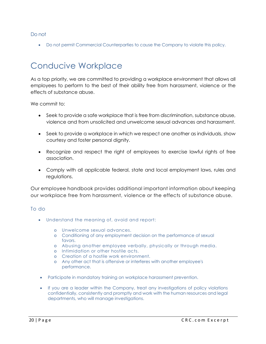#### Do not

Do not permit Commercial Counterparties to cause the Company to violate this policy.

### Conducive Workplace

As a top priority, we are committed to providing a workplace environment that allows all employees to perform to the best of their ability free from harassment, violence or the effects of substance abuse.

We commit to:

- Seek to provide a safe workplace that is free from discrimination, substance abuse, violence and from unsolicited and unwelcome sexual advances and harassment.
- Seek to provide a workplace in which we respect one another as individuals, show courtesy and foster personal dignity.
- Recognize and respect the right of employees to exercise lawful rights of free association.
- Comply with all applicable federal, state and local employment laws, rules and regulations.

Our employee handbook provides additional important information about keeping our workplace free from harassment, violence or the effects of substance abuse.

#### To do

- Understand the meaning of, avoid and report:
	- o Unwelcome sexual advances.
	- o Conditioning of any employment decision on the performance of sexual favors.
	- o Abusing another employee verbally, physically or through media.
	- o Intimidation or other hostile acts.
	- o Creation of a hostile work environment.
	- o Any other act that is offensive or interferes with another employee's performance.
- Participate in mandatory training on workplace harassment prevention.
- If you are a leader within the Company, treat any investigations of policy violations confidentially, consistently and promptly and work with the human resources and legal departments, who will manage investigations.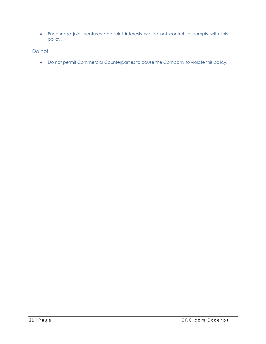Encourage joint ventures and joint interests we do not control to comply with this policy.

Do not

Do not permit Commercial Counterparties to cause the Company to violate this policy.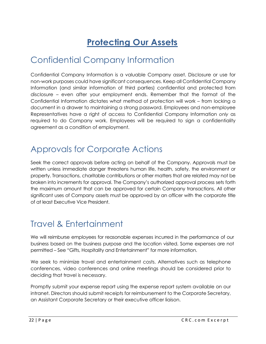# **Protecting Our Assets**

## Confidential Company Information

Confidential Company Information is a valuable Company asset. Disclosure or use for non-work purposes could have significant consequences. Keep all Confidential Company Information (and similar information of third parties) confidential and protected from disclosure – even after your employment ends. Remember that the format of the Confidential Information dictates what method of protection will work – from locking a document in a drawer to maintaining a strong password. Employees and non-employee Representatives have a right of access to Confidential Company Information *only* as required to do Company work. Employees will be required to sign a confidentiality agreement as a condition of employment.

## Approvals for Corporate Actions

Seek the correct approvals before acting on behalf of the Company. Approvals must be written unless immediate danger threatens human life, health, safety, the environment or property. Transactions, charitable contributions or other matters that are related may not be broken into increments for approval. The Company's authorized approval process sets forth the maximum amount that can be approved for certain Company transactions. All other significant uses of Company assets must be approved by an officer with the corporate title of at least Executive Vice President.

## Travel & Entertainment

We will reimburse employees for reasonable expenses incurred in the performance of our business based on the business purpose and the location visited. Some expenses are not permitted – See "Gifts, Hospitality and Entertainment" for more information.

We seek to minimize travel and entertainment costs. Alternatives such as telephone conferences, video conferences and online meetings should be considered prior to deciding that travel is necessary.

Promptly submit your expense report using the expense report system available on our intranet. Directors should submit receipts for reimbursement to the Corporate Secretary, an Assistant Corporate Secretary or their executive officer liaison.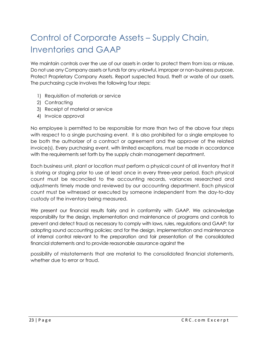# Control of Corporate Assets – Supply Chain, Inventories and GAAP

We maintain controls over the use of our assets in order to protect them from loss or misuse. Do not use any Company assets or funds for any unlawful, improper or non-business purpose. Protect Proprietary Company Assets. Report suspected fraud, theft or waste of our assets. The purchasing cycle involves the following four steps:

- 1) Requisition of materials or service
- 2) Contracting
- 3) Receipt of material or service
- 4) Invoice approval

No employee is permitted to be responsible for more than two of the above four steps with respect to a single purchasing event. It is also prohibited for a single employee to be both the authorizer of a contract or agreement and the approver of the related invoice(s). Every purchasing event, with limited exceptions, must be made in accordance with the requirements set forth by the supply chain management department.

Each business unit, plant or location must perform a physical count of all inventory that it is storing or staging prior to use at least once in every three-year period. Each physical count must be reconciled to the accounting records, variances researched and adjustments timely made and reviewed by our accounting department. Each physical count must be witnessed or executed by someone independent from the day-to-day custody of the inventory being measured.

We present our financial results fairly and in conformity with GAAP. We acknowledge responsibility for the design, implementation and maintenance of programs and controls to prevent and detect fraud as necessary to comply with laws, rules, regulations and GAAP; for adopting sound accounting policies; and for the design, implementation and maintenance of internal control relevant to the preparation and fair presentation of the consolidated financial statements and to provide reasonable assurance against the

possibility of misstatements that are material to the consolidated financial statements, whether due to error or fraud.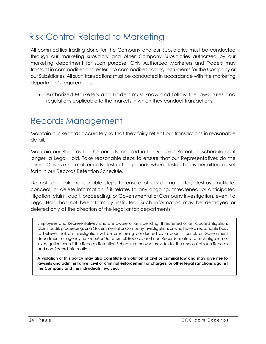## Risk Control Related to Marketing

All commodities trading done for the Company and our Subsidiaries must be conducted through our marketing subsidiary and other Company Subsidiaries authorized by our marketing department for such purpose. Only Authorized Marketers and Traders may transact in commodities and enter into commodities trading instruments for the Company or our Subsidiaries. All such transactions must be conducted in accordance with the marketing department's requirements.

 Authorized Marketers and Traders must know and follow the laws, rules and regulations applicable to the markets in which they conduct transactions.

### Records Management

Maintain our Records accurately so that they fairly reflect our transactions in reasonable detail.

Maintain our Records for the periods required in the Records Retention Schedule or, if longer, a Legal Hold. Take reasonable steps to ensure that our Representatives do the same. Observe normal records destruction periods when destruction is permitted as set forth in our Records Retention Schedule.

Do not, and take reasonable steps to ensure others do not, alter, destroy, mutilate, conceal, or delete information if it relates to any ongoing, threatened, or anticipated litigation, claim, audit, proceeding, or Governmental or Company investigation, even if a Legal Hold has not been formally instituted. Such information may be destroyed or deleted only at the direction of the legal or tax departments.

Employees and Representatives who are aware of any pending, threatened or anticipated litigation, claim, audit, proceeding, or a Governmental or Company investigation, or who have a reasonable basis to believe that an investigation will be or is being conducted by a court, tribunal, or Government department or agency, *are required to* retain all Records and non-Records related to such litigation or investigation even if the Records Retention Schedule otherwise provides for the disposal of such Records and non-Record information.

**A violation of this policy may also constitute a violation of civil or criminal law and may give rise to lawsuits and administrative, civil or criminal enforcement or charges, or other legal sanctions against the Company and the individuals involved.**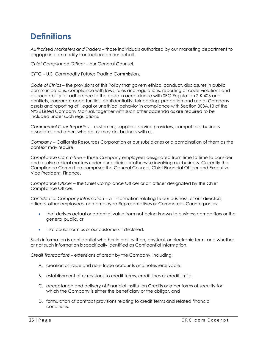### **Definitions**

*Authorized Marketers and Traders* – those individuals authorized by our marketing department to engage in commodity transactions on our behalf.

*Chief Compliance Officer* – our General Counsel.

*CFTC* – U.S. Commodity Futures Trading Commission.

*Code of Ethics –* the provisions of this Policy that govern ethical conduct, disclosures in public communications, compliance with laws, rules and regulations, reporting of code violations and accountability for adherence to the code in accordance with SEC Regulation S-K 406 and conflicts, corporate opportunities, confidentiality, fair dealing, protection and use of Company assets and reporting of illegal or unethical behavior in compliance with Section 303A.10 of the NYSE Listed Company Manual, together with such other addenda as are required to be included under such regulations.

*Commercial Counterparties* – customers, suppliers, service providers, competitors, business associates and others who do, or may do, business with us.

*Company* – California Resources Corporation or our subsidiaries or a combination of them as the context may require.

*Compliance Committee* – those Company employees designated from time to time to consider and resolve ethical matters under our policies or otherwise involving our business. Currently the Compliance Committee comprises the General Counsel, Chief Financial Officer and Executive Vice President, Finance.

*Compliance Officer* – the Chief Compliance Officer or an officer designated by the Chief Compliance Officer.

*Confidential Company Information* – all information relating to our business, or our directors, officers, other employees, non-employee Representatives or Commercial Counterparties:

- that derives actual or potential value from not being known to business competitors or the general public, or
- that could harm us or our customers if disclosed.

Such information is confidential whether in oral, written, physical, or electronic form, and whether or not such information is specifically identified as Confidential Information.

*Credit Transactions* – extensions of credit by the Company, including:

- A. creation of trade and non- trade accounts and notes receivable,
- B. establishment of or revisions to credit terms, credit lines or credit limits,
- C. acceptance and delivery of Financial Institution Credits or other forms of security for which the Company is either the beneficiary or the obligor, and
- D. formulation of contract provisions relating to credit terms and related financial conditions.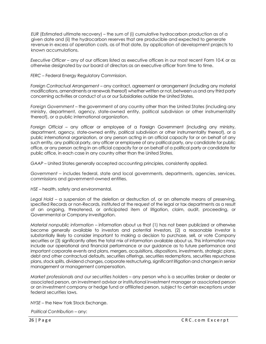*EUR* (Estimated ultimate recovery) – the sum of (i) cumulative hydrocarbon production as of a given date and (ii) the hydrocarbon reserves that are producible and expected to generate revenue in excess of operation costs, as of that date, by application of development projects to known accumulations.

*Executive Officer* – any of our officers listed as executive officers in our most recent Form 10-K or as otherwise designated by our board of directors as an executive officer from time to time.

*FERC* – Federal Energy Regulatory Commission.

*Foreign Contractual Arrangement* – any contract, agreement or arrangement (including any material modifications, amendments or renewals thereof) whether written or not, between us and any third party concerning activities or conduct of us or our Subsidiaries outside the United States.

*Foreign Government* – the government of any country other than the United States (including any ministry, department, agency, state-owned entity, political subdivision or other instrumentality thereof), or a public international organization.

*Foreign Official* – any officer or employee of a Foreign Government (including any ministry, department, agency, state-owned entity, political subdivision or other instrumentality thereof), or a public international organization, or any person acting in an official capacity for or on behalf of any such entity, any political party, any officer or employee of any political party, any candidate for public office, or any person acting in an official capacity for or on behalf of a political party or candidate for public office, in each case in any country other than the United States.

*GAAP –* United States generally accepted accounting principles, consistently applied.

*Government* – includes federal, state and local governments, departments, agencies, services, commissions and government-owned entities.

*HSE* – health, safety and environmental.

*Legal Hold* – a suspension of the deletion or destruction of, or an alternate means of preserving, specified Records or non-Records, instituted at the request of the legal or tax departments as a result of an ongoing, threatened, or anticipated item of litigation, claim, audit, proceeding, or Governmental or Company investigation.

*Material nonpublic information* – information about us that (1) has not been publicized or otherwise become generally available to investors and potential investors, (2) a reasonable investor is substantially likely to consider important to making a decision to purchase, sell, or vote Company securities or (3) significantly alters the total mix of information available about us. This information may include our operational and financial performance or our guidance as to future performance and important corporate events and plans, mergers, acquisitions, dispositions, investments, strategic plans, debt and other contractual defaults, securities offerings, securities redemptions, securities repurchase plans, stock splits, dividend changes, corporate restructuring, significant litigation and changes in senior management or management compensation.

*Market professionals and our securities holders* – any person who is a securities broker or dealer or associated person, an investment advisor or institutional investment manager or associated person or an investment company or hedge fund or affiliated person, subject to certain exceptions under federal securities laws.

*NYSE* – the New York Stock Exchange.

*Political Contribution* – any: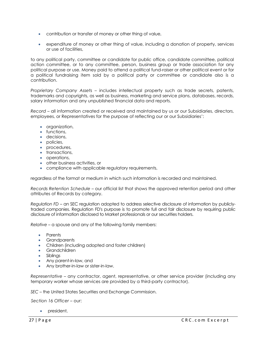- contribution or transfer of money or other thing of value,
- expenditure of money or other thing of value, including a donation of property, services or use of facilities,

to any political party, committee or candidate for public office, candidate committee, political action committee, or to any committee, person, business group or trade association for any political purpose or use. Money paid to attend a political fund-raiser or other political event or for a political fundraising item sold by a political party or committee or candidate also is a contribution.

*Proprietary Company Assets* – includes intellectual property such as trade secrets, patents, trademarks and copyrights, as well as business, marketing and service plans, databases, records, salary information and any unpublished financial data and reports.

*Record* – all information created or received and maintained by us or our Subsidiaries, directors, employees, or Representatives for the purpose of reflecting our or our Subsidiaries':

- **•** organization,
- functions,
- **decisions**,
- policies,
- procedures,
- **transactions,**
- operations,
- other business activities, or
- compliance with applicable regulatory requirements,

regardless of the format or medium in which such information is recorded and maintained.

*Records Retention Schedule* – our official list that shows the approved retention period and other attributes of Records by category.

*Regulation FD* – an SEC regulation adopted to address selective disclosure of information by publiclytraded companies. Regulation FD's purpose is to promote full and fair disclosure by requiring public disclosure of information disclosed to Market professionals or our securities holders.

*Relative* – a spouse and any of the following family members:

- Parents
- Grandparents
- Children (including adopted and foster children)
- Grandchildren
- Siblings
- Any parent-in-law, and
- Any brother-in-law or sister-in-law.

*Representative* – any contractor, agent, representative, or other service provider (including any temporary worker whose services are provided by a third-party contractor).

*SEC* – the United States Securities and Exchange Commission.

*Section 16 Officer* – our:

president,